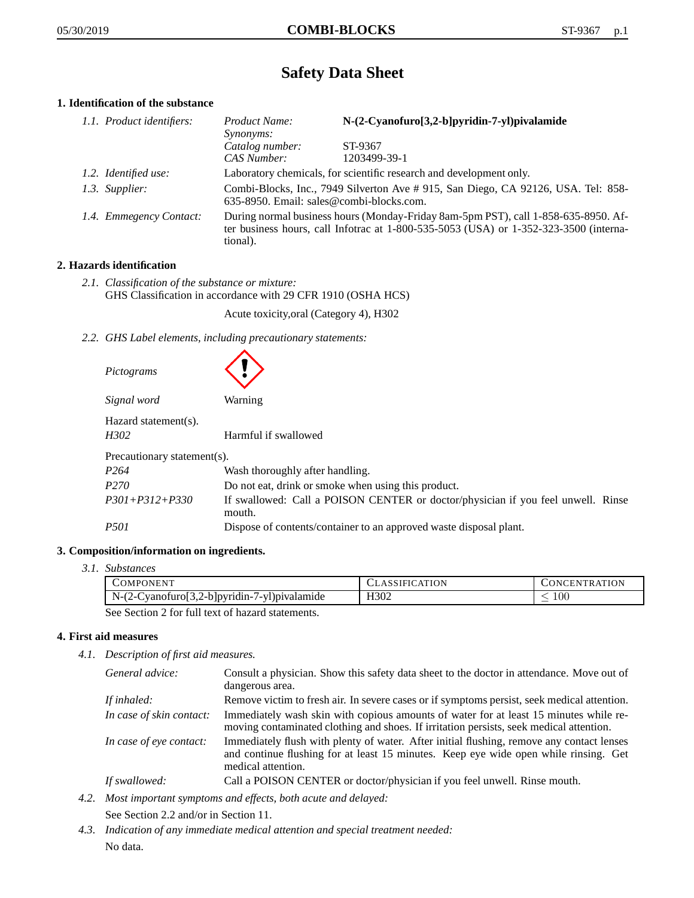# **Safety Data Sheet**

# **1. Identification of the substance**

| 1.1. Product identifiers: | Product Name:<br><i>Synonyms:</i> | N-(2-Cyanofuro[3,2-b]pyridin-7-yl)pivalamide                                                                                                                                |  |
|---------------------------|-----------------------------------|-----------------------------------------------------------------------------------------------------------------------------------------------------------------------------|--|
|                           | Catalog number:                   | ST-9367                                                                                                                                                                     |  |
|                           | CAS Number:                       | 1203499-39-1                                                                                                                                                                |  |
| 1.2. Identified use:      |                                   | Laboratory chemicals, for scientific research and development only.                                                                                                         |  |
| 1.3. Supplier:            |                                   | Combi-Blocks, Inc., 7949 Silverton Ave # 915, San Diego, CA 92126, USA. Tel: 858-<br>635-8950. Email: sales@combi-blocks.com.                                               |  |
| 1.4. Emmegency Contact:   | tional).                          | During normal business hours (Monday-Friday 8am-5pm PST), call 1-858-635-8950. Af-<br>ter business hours, call Infotrac at 1-800-535-5053 (USA) or 1-352-323-3500 (interna- |  |

# **2. Hazards identification**

*2.1. Classification of the substance or mixture:* GHS Classification in accordance with 29 CFR 1910 (OSHA HCS)

Acute toxicity,oral (Category 4), H302

*2.2. GHS Label elements, including precautionary statements:*

| Pictograms                   |                                                                                            |
|------------------------------|--------------------------------------------------------------------------------------------|
| Signal word                  | Warning                                                                                    |
| Hazard statement(s).<br>H302 | Harmful if swallowed                                                                       |
| Precautionary statement(s).  |                                                                                            |
| P <sub>264</sub>             | Wash thoroughly after handling.                                                            |
| P <sub>270</sub>             | Do not eat, drink or smoke when using this product.                                        |
| $P301 + P312 + P330$         | If swallowed: Call a POISON CENTER or doctor/physician if you feel unwell. Rinse<br>mouth. |
| <i>P501</i>                  | Dispose of contents/container to an approved waste disposal plant.                         |

# **3. Composition/information on ingredients.**

*3.1. Substances*

| COMPONENT                                    | <b>CLASSIFICATION</b> | <b>CONCENTRATION</b> |
|----------------------------------------------|-----------------------|----------------------|
| N-(2-Cyanofuro[3,2-b]pyridin-7-yl)pivalamide | H302                  | 100                  |
|                                              |                       |                      |

See Section 2 for full text of hazard statements.

# **4. First aid measures**

*4.1. Description of first aid measures.*

| General advice:          | Consult a physician. Show this safety data sheet to the doctor in attendance. Move out of<br>dangerous area.                                                                                            |
|--------------------------|---------------------------------------------------------------------------------------------------------------------------------------------------------------------------------------------------------|
| If inhaled:              | Remove victim to fresh air. In severe cases or if symptoms persist, seek medical attention.                                                                                                             |
| In case of skin contact: | Immediately wash skin with copious amounts of water for at least 15 minutes while re-<br>moving contaminated clothing and shoes. If irritation persists, seek medical attention.                        |
| In case of eye contact:  | Immediately flush with plenty of water. After initial flushing, remove any contact lenses<br>and continue flushing for at least 15 minutes. Keep eye wide open while rinsing. Get<br>medical attention. |
| If swallowed:            | Call a POISON CENTER or doctor/physician if you feel unwell. Rinse mouth.                                                                                                                               |

- *4.2. Most important symptoms and effects, both acute and delayed:* See Section 2.2 and/or in Section 11.
- *4.3. Indication of any immediate medical attention and special treatment needed:* No data.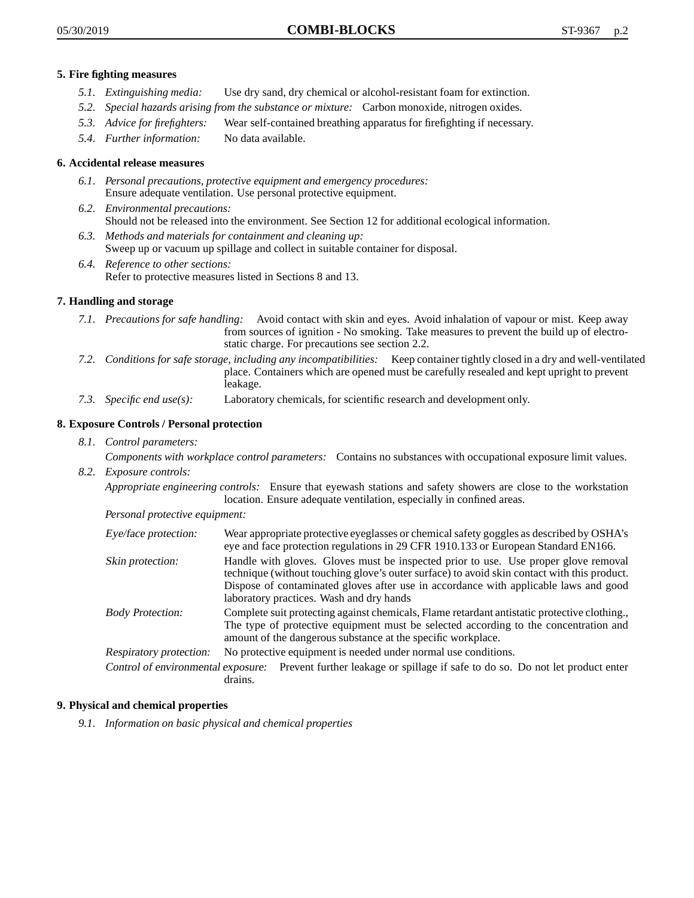## **5. Fire fighting measures**

- *5.1. Extinguishing media:* Use dry sand, dry chemical or alcohol-resistant foam for extinction.
- *5.2. Special hazards arising from the substance or mixture:* Carbon monoxide, nitrogen oxides.
- *5.3. Advice for firefighters:* Wear self-contained breathing apparatus for firefighting if necessary.
- *5.4. Further information:* No data available.

# **6. Accidental release measures**

- *6.1. Personal precautions, protective equipment and emergency procedures:* Ensure adequate ventilation. Use personal protective equipment.
- *6.2. Environmental precautions:* Should not be released into the environment. See Section 12 for additional ecological information.
- *6.3. Methods and materials for containment and cleaning up:* Sweep up or vacuum up spillage and collect in suitable container for disposal.
- *6.4. Reference to other sections:* Refer to protective measures listed in Sections 8 and 13.

# **7. Handling and storage**

- *7.1. Precautions for safe handling:* Avoid contact with skin and eyes. Avoid inhalation of vapour or mist. Keep away from sources of ignition - No smoking. Take measures to prevent the build up of electrostatic charge. For precautions see section 2.2.
- *7.2. Conditions for safe storage, including any incompatibilities:* Keep container tightly closed in a dry and well-ventilated place. Containers which are opened must be carefully resealed and kept upright to prevent leakage.
- *7.3. Specific end use(s):* Laboratory chemicals, for scientific research and development only.

# **8. Exposure Controls / Personal protection**

*8.1. Control parameters:*

*Components with workplace control parameters:* Contains no substances with occupational exposure limit values.

*8.2. Exposure controls:*

*Appropriate engineering controls:* Ensure that eyewash stations and safety showers are close to the workstation location. Ensure adequate ventilation, especially in confined areas.

*Personal protective equipment:*

| Eye/face protection:    | Wear appropriate protective eyeglasses or chemical safety goggles as described by OSHA's<br>eye and face protection regulations in 29 CFR 1910.133 or European Standard EN166.                                                                                                                                         |
|-------------------------|------------------------------------------------------------------------------------------------------------------------------------------------------------------------------------------------------------------------------------------------------------------------------------------------------------------------|
| Skin protection:        | Handle with gloves. Gloves must be inspected prior to use. Use proper glove removal<br>technique (without touching glove's outer surface) to avoid skin contact with this product.<br>Dispose of contaminated gloves after use in accordance with applicable laws and good<br>laboratory practices. Wash and dry hands |
| <b>Body Protection:</b> | Complete suit protecting against chemicals, Flame retardant antistatic protective clothing.,<br>The type of protective equipment must be selected according to the concentration and<br>amount of the dangerous substance at the specific workplace.                                                                   |
| Respiratory protection: | No protective equipment is needed under normal use conditions.                                                                                                                                                                                                                                                         |
|                         | Control of environmental exposure: Prevent further leakage or spillage if safe to do so. Do not let product enter<br>drains.                                                                                                                                                                                           |

#### **9. Physical and chemical properties**

*9.1. Information on basic physical and chemical properties*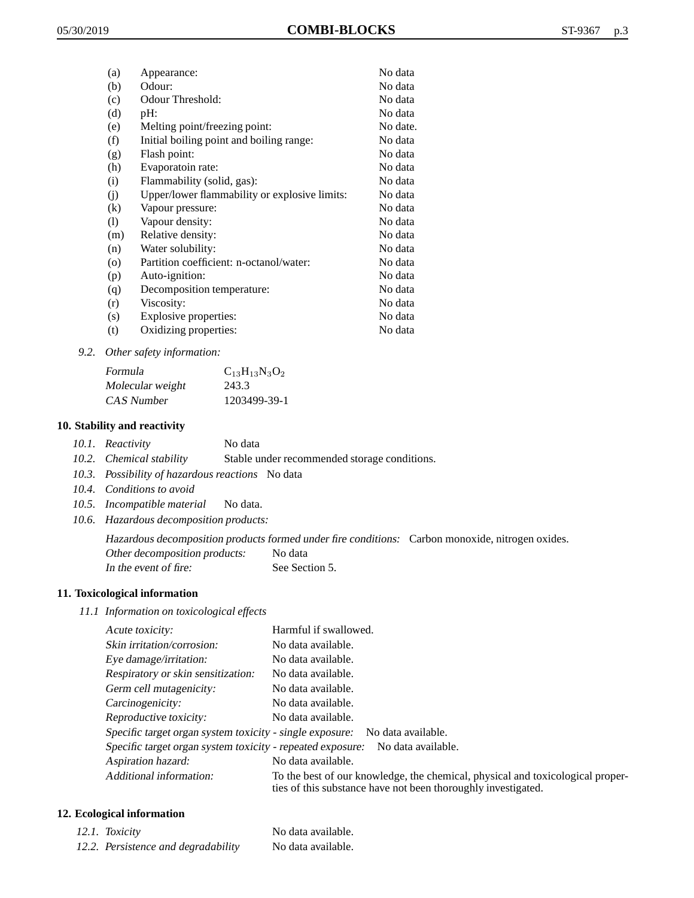| (a)      | Appearance:                                   | No data  |
|----------|-----------------------------------------------|----------|
| (b)      | Odour:                                        | No data  |
| (c)      | Odour Threshold:                              | No data  |
| (d)      | pH:                                           | No data  |
| (e)      | Melting point/freezing point:                 | No date. |
| (f)      | Initial boiling point and boiling range:      | No data  |
| (g)      | Flash point:                                  | No data  |
| (h)      | Evaporatoin rate:                             | No data  |
| (i)      | Flammability (solid, gas):                    | No data  |
| (j)      | Upper/lower flammability or explosive limits: | No data  |
| $\rm(k)$ | Vapour pressure:                              | No data  |
| (1)      | Vapour density:                               | No data  |
| (m)      | Relative density:                             | No data  |
| (n)      | Water solubility:                             | No data  |
| $\circ$  | Partition coefficient: n-octanol/water:       | No data  |
| (p)      | Auto-ignition:                                | No data  |
| (q)      | Decomposition temperature:                    | No data  |
| (r)      | Viscosity:                                    | No data  |
| (s)      | Explosive properties:                         | No data  |
| (t)      | Oxidizing properties:                         | No data  |
|          |                                               |          |

*9.2. Other safety information:*

| Formula          | $C_{13}H_{13}N_3O_2$ |
|------------------|----------------------|
| Molecular weight | 243.3                |
| CAS Number       | 1203499-39-1         |

# **10. Stability and reactivity**

- *10.1. Reactivity* No data
- *10.2. Chemical stability* Stable under recommended storage conditions.
- *10.3. Possibility of hazardous reactions* No data
- *10.4. Conditions to avoid*
- *10.5. Incompatible material* No data.
- *10.6. Hazardous decomposition products:*

Hazardous decomposition products formed under fire conditions: Carbon monoxide, nitrogen oxides. Other decomposition products: No data In the event of fire: See Section 5.

# **11. Toxicological information**

*11.1 Information on toxicological effects*

| Acute toxicity:                                            | Harmful if swallowed.                                                                                                                           |
|------------------------------------------------------------|-------------------------------------------------------------------------------------------------------------------------------------------------|
| Skin irritation/corrosion:                                 | No data available.                                                                                                                              |
| Eye damage/irritation:                                     | No data available.                                                                                                                              |
| Respiratory or skin sensitization:                         | No data available.                                                                                                                              |
| Germ cell mutagenicity:                                    | No data available.                                                                                                                              |
| Carcinogenicity:                                           | No data available.                                                                                                                              |
| Reproductive toxicity:                                     | No data available.                                                                                                                              |
| Specific target organ system toxicity - single exposure:   | No data available.                                                                                                                              |
| Specific target organ system toxicity - repeated exposure: | No data available.                                                                                                                              |
| Aspiration hazard:                                         | No data available.                                                                                                                              |
| Additional information:                                    | To the best of our knowledge, the chemical, physical and toxicological proper-<br>ties of this substance have not been thoroughly investigated. |

# **12. Ecological information**

| 12.1. Toxicity                      | No data available. |
|-------------------------------------|--------------------|
| 12.2. Persistence and degradability | No data available. |